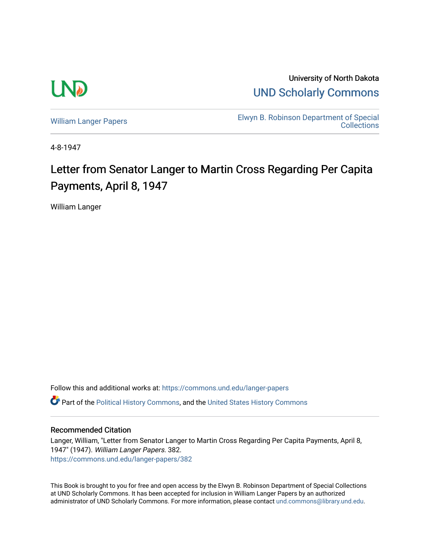

University of North Dakota [UND Scholarly Commons](https://commons.und.edu/) 

[William Langer Papers](https://commons.und.edu/langer-papers) **Elwyn B. Robinson Department of Special** [Collections](https://commons.und.edu/archives) 

4-8-1947

## Letter from Senator Langer to Martin Cross Regarding Per Capita Payments, April 8, 1947

William Langer

Follow this and additional works at: [https://commons.und.edu/langer-papers](https://commons.und.edu/langer-papers?utm_source=commons.und.edu%2Flanger-papers%2F382&utm_medium=PDF&utm_campaign=PDFCoverPages)  **C** Part of the [Political History Commons,](https://network.bepress.com/hgg/discipline/505?utm_source=commons.und.edu%2Flanger-papers%2F382&utm_medium=PDF&utm_campaign=PDFCoverPages) and the [United States History Commons](https://network.bepress.com/hgg/discipline/495?utm_source=commons.und.edu%2Flanger-papers%2F382&utm_medium=PDF&utm_campaign=PDFCoverPages)

## Recommended Citation

Langer, William, "Letter from Senator Langer to Martin Cross Regarding Per Capita Payments, April 8, 1947" (1947). William Langer Papers. 382. [https://commons.und.edu/langer-papers/382](https://commons.und.edu/langer-papers/382?utm_source=commons.und.edu%2Flanger-papers%2F382&utm_medium=PDF&utm_campaign=PDFCoverPages) 

This Book is brought to you for free and open access by the Elwyn B. Robinson Department of Special Collections at UND Scholarly Commons. It has been accepted for inclusion in William Langer Papers by an authorized administrator of UND Scholarly Commons. For more information, please contact [und.commons@library.und.edu.](mailto:und.commons@library.und.edu)